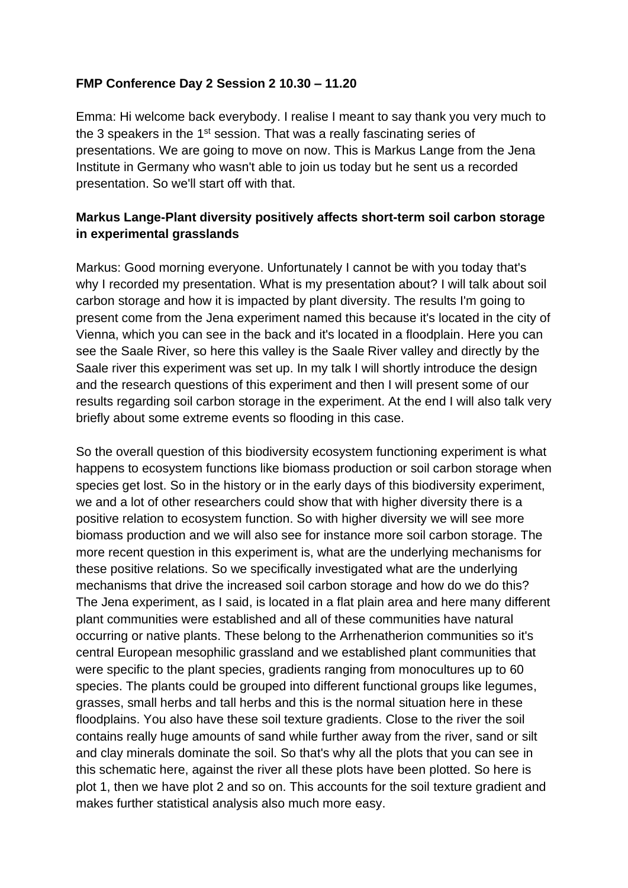### **FMP Conference Day 2 Session 2 10.30 – 11.20**

Emma: Hi welcome back everybody. I realise I meant to say thank you very much to the 3 speakers in the  $1<sup>st</sup>$  session. That was a really fascinating series of presentations. We are going to move on now. This is Markus Lange from the Jena Institute in Germany who wasn't able to join us today but he sent us a recorded presentation. So we'll start off with that.

# **Markus Lange-Plant diversity positively affects short-term soil carbon storage in experimental grasslands**

Markus: Good morning everyone. Unfortunately I cannot be with you today that's why I recorded my presentation. What is my presentation about? I will talk about soil carbon storage and how it is impacted by plant diversity. The results I'm going to present come from the Jena experiment named this because it's located in the city of Vienna, which you can see in the back and it's located in a floodplain. Here you can see the Saale River, so here this valley is the Saale River valley and directly by the Saale river this experiment was set up. In my talk I will shortly introduce the design and the research questions of this experiment and then I will present some of our results regarding soil carbon storage in the experiment. At the end I will also talk very briefly about some extreme events so flooding in this case.

So the overall question of this biodiversity ecosystem functioning experiment is what happens to ecosystem functions like biomass production or soil carbon storage when species get lost. So in the history or in the early days of this biodiversity experiment, we and a lot of other researchers could show that with higher diversity there is a positive relation to ecosystem function. So with higher diversity we will see more biomass production and we will also see for instance more soil carbon storage. The more recent question in this experiment is, what are the underlying mechanisms for these positive relations. So we specifically investigated what are the underlying mechanisms that drive the increased soil carbon storage and how do we do this? The Jena experiment, as I said, is located in a flat plain area and here many different plant communities were established and all of these communities have natural occurring or native plants. These belong to the Arrhenatherion communities so it's central European mesophilic grassland and we established plant communities that were specific to the plant species, gradients ranging from monocultures up to 60 species. The plants could be grouped into different functional groups like legumes, grasses, small herbs and tall herbs and this is the normal situation here in these floodplains. You also have these soil texture gradients. Close to the river the soil contains really huge amounts of sand while further away from the river, sand or silt and clay minerals dominate the soil. So that's why all the plots that you can see in this schematic here, against the river all these plots have been plotted. So here is plot 1, then we have plot 2 and so on. This accounts for the soil texture gradient and makes further statistical analysis also much more easy.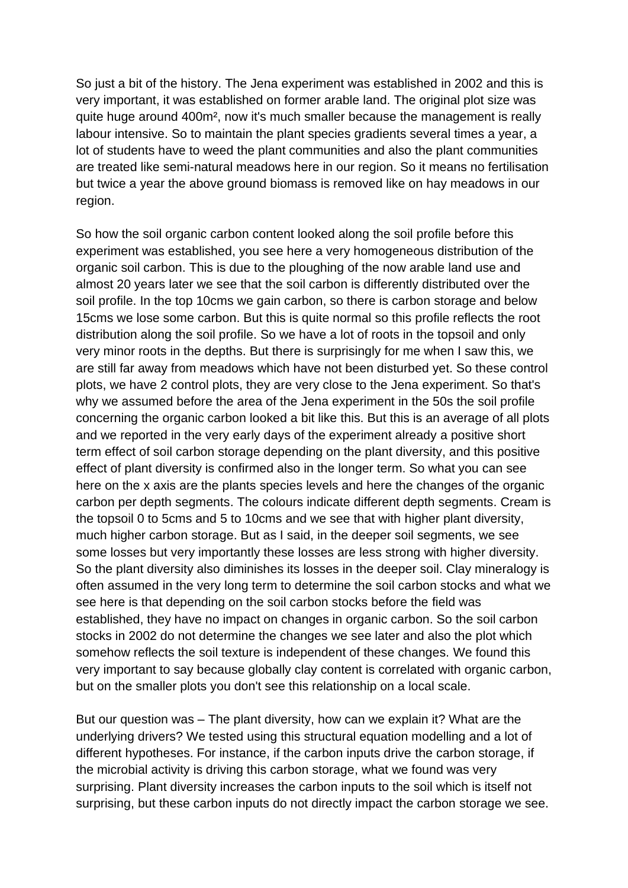So just a bit of the history. The Jena experiment was established in 2002 and this is very important, it was established on former arable land. The original plot size was quite huge around 400m², now it's much smaller because the management is really labour intensive. So to maintain the plant species gradients several times a year, a lot of students have to weed the plant communities and also the plant communities are treated like semi-natural meadows here in our region. So it means no fertilisation but twice a year the above ground biomass is removed like on hay meadows in our region.

So how the soil organic carbon content looked along the soil profile before this experiment was established, you see here a very homogeneous distribution of the organic soil carbon. This is due to the ploughing of the now arable land use and almost 20 years later we see that the soil carbon is differently distributed over the soil profile. In the top 10cms we gain carbon, so there is carbon storage and below 15cms we lose some carbon. But this is quite normal so this profile reflects the root distribution along the soil profile. So we have a lot of roots in the topsoil and only very minor roots in the depths. But there is surprisingly for me when I saw this, we are still far away from meadows which have not been disturbed yet. So these control plots, we have 2 control plots, they are very close to the Jena experiment. So that's why we assumed before the area of the Jena experiment in the 50s the soil profile concerning the organic carbon looked a bit like this. But this is an average of all plots and we reported in the very early days of the experiment already a positive short term effect of soil carbon storage depending on the plant diversity, and this positive effect of plant diversity is confirmed also in the longer term. So what you can see here on the x axis are the plants species levels and here the changes of the organic carbon per depth segments. The colours indicate different depth segments. Cream is the topsoil 0 to 5cms and 5 to 10cms and we see that with higher plant diversity, much higher carbon storage. But as I said, in the deeper soil segments, we see some losses but very importantly these losses are less strong with higher diversity. So the plant diversity also diminishes its losses in the deeper soil. Clay mineralogy is often assumed in the very long term to determine the soil carbon stocks and what we see here is that depending on the soil carbon stocks before the field was established, they have no impact on changes in organic carbon. So the soil carbon stocks in 2002 do not determine the changes we see later and also the plot which somehow reflects the soil texture is independent of these changes. We found this very important to say because globally clay content is correlated with organic carbon, but on the smaller plots you don't see this relationship on a local scale.

But our question was – The plant diversity, how can we explain it? What are the underlying drivers? We tested using this structural equation modelling and a lot of different hypotheses. For instance, if the carbon inputs drive the carbon storage, if the microbial activity is driving this carbon storage, what we found was very surprising. Plant diversity increases the carbon inputs to the soil which is itself not surprising, but these carbon inputs do not directly impact the carbon storage we see.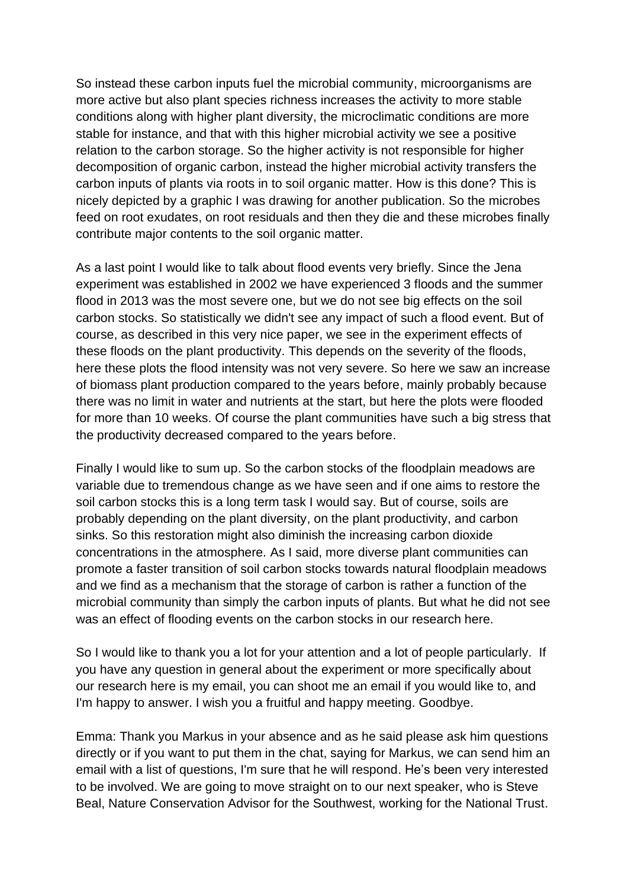So instead these carbon inputs fuel the microbial community, microorganisms are more active but also plant species richness increases the activity to more stable conditions along with higher plant diversity, the microclimatic conditions are more stable for instance, and that with this higher microbial activity we see a positive relation to the carbon storage. So the higher activity is not responsible for higher decomposition of organic carbon, instead the higher microbial activity transfers the carbon inputs of plants via roots in to soil organic matter. How is this done? This is nicely depicted by a graphic I was drawing for another publication. So the microbes feed on root exudates, on root residuals and then they die and these microbes finally contribute major contents to the soil organic matter.

As a last point I would like to talk about flood events very briefly. Since the Jena experiment was established in 2002 we have experienced 3 floods and the summer flood in 2013 was the most severe one, but we do not see big effects on the soil carbon stocks. So statistically we didn't see any impact of such a flood event. But of course, as described in this very nice paper, we see in the experiment effects of these floods on the plant productivity. This depends on the severity of the floods, here these plots the flood intensity was not very severe. So here we saw an increase of biomass plant production compared to the years before, mainly probably because there was no limit in water and nutrients at the start, but here the plots were flooded for more than 10 weeks. Of course the plant communities have such a big stress that the productivity decreased compared to the years before.

Finally I would like to sum up. So the carbon stocks of the floodplain meadows are variable due to tremendous change as we have seen and if one aims to restore the soil carbon stocks this is a long term task I would say. But of course, soils are probably depending on the plant diversity, on the plant productivity, and carbon sinks. So this restoration might also diminish the increasing carbon dioxide concentrations in the atmosphere. As I said, more diverse plant communities can promote a faster transition of soil carbon stocks towards natural floodplain meadows and we find as a mechanism that the storage of carbon is rather a function of the microbial community than simply the carbon inputs of plants. But what he did not see was an effect of flooding events on the carbon stocks in our research here.

So I would like to thank you a lot for your attention and a lot of people particularly. If you have any question in general about the experiment or more specifically about our research here is my email, you can shoot me an email if you would like to, and I'm happy to answer. I wish you a fruitful and happy meeting. Goodbye.

Emma: Thank you Markus in your absence and as he said please ask him questions directly or if you want to put them in the chat, saying for Markus, we can send him an email with a list of questions, I'm sure that he will respond. He's been very interested to be involved. We are going to move straight on to our next speaker, who is Steve Beal, Nature Conservation Advisor for the Southwest, working for the National Trust.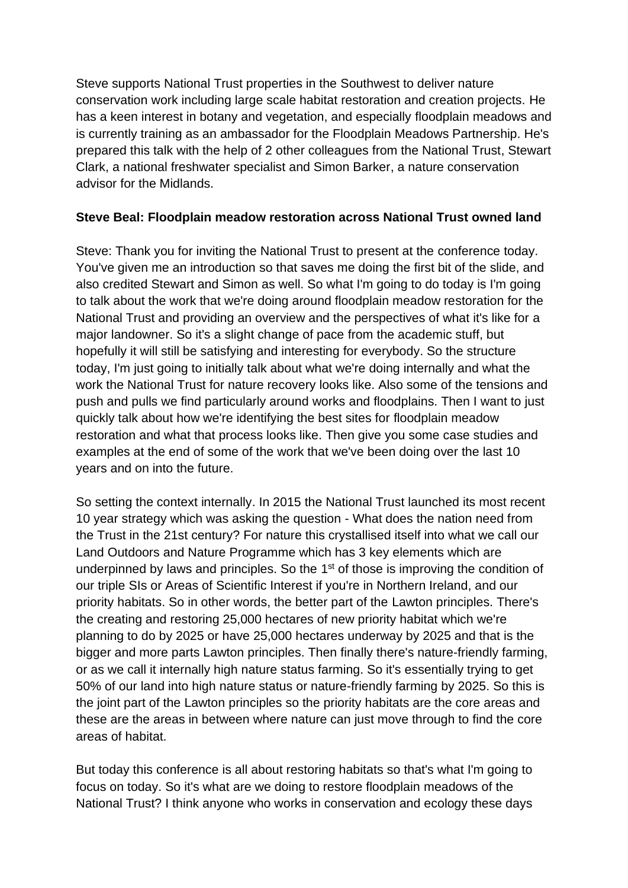Steve supports National Trust properties in the Southwest to deliver nature conservation work including large scale habitat restoration and creation projects. He has a keen interest in botany and vegetation, and especially floodplain meadows and is currently training as an ambassador for the Floodplain Meadows Partnership. He's prepared this talk with the help of 2 other colleagues from the National Trust, Stewart Clark, a national freshwater specialist and Simon Barker, a nature conservation advisor for the Midlands.

## **Steve Beal: Floodplain meadow restoration across National Trust owned land**

Steve: Thank you for inviting the National Trust to present at the conference today. You've given me an introduction so that saves me doing the first bit of the slide, and also credited Stewart and Simon as well. So what I'm going to do today is I'm going to talk about the work that we're doing around floodplain meadow restoration for the National Trust and providing an overview and the perspectives of what it's like for a major landowner. So it's a slight change of pace from the academic stuff, but hopefully it will still be satisfying and interesting for everybody. So the structure today, I'm just going to initially talk about what we're doing internally and what the work the National Trust for nature recovery looks like. Also some of the tensions and push and pulls we find particularly around works and floodplains. Then I want to just quickly talk about how we're identifying the best sites for floodplain meadow restoration and what that process looks like. Then give you some case studies and examples at the end of some of the work that we've been doing over the last 10 years and on into the future.

So setting the context internally. In 2015 the National Trust launched its most recent 10 year strategy which was asking the question - What does the nation need from the Trust in the 21st century? For nature this crystallised itself into what we call our Land Outdoors and Nature Programme which has 3 key elements which are underpinned by laws and principles. So the  $1<sup>st</sup>$  of those is improving the condition of our triple SIs or Areas of Scientific Interest if you're in Northern Ireland, and our priority habitats. So in other words, the better part of the Lawton principles. There's the creating and restoring 25,000 hectares of new priority habitat which we're planning to do by 2025 or have 25,000 hectares underway by 2025 and that is the bigger and more parts Lawton principles. Then finally there's nature-friendly farming, or as we call it internally high nature status farming. So it's essentially trying to get 50% of our land into high nature status or nature-friendly farming by 2025. So this is the joint part of the Lawton principles so the priority habitats are the core areas and these are the areas in between where nature can just move through to find the core areas of habitat.

But today this conference is all about restoring habitats so that's what I'm going to focus on today. So it's what are we doing to restore floodplain meadows of the National Trust? I think anyone who works in conservation and ecology these days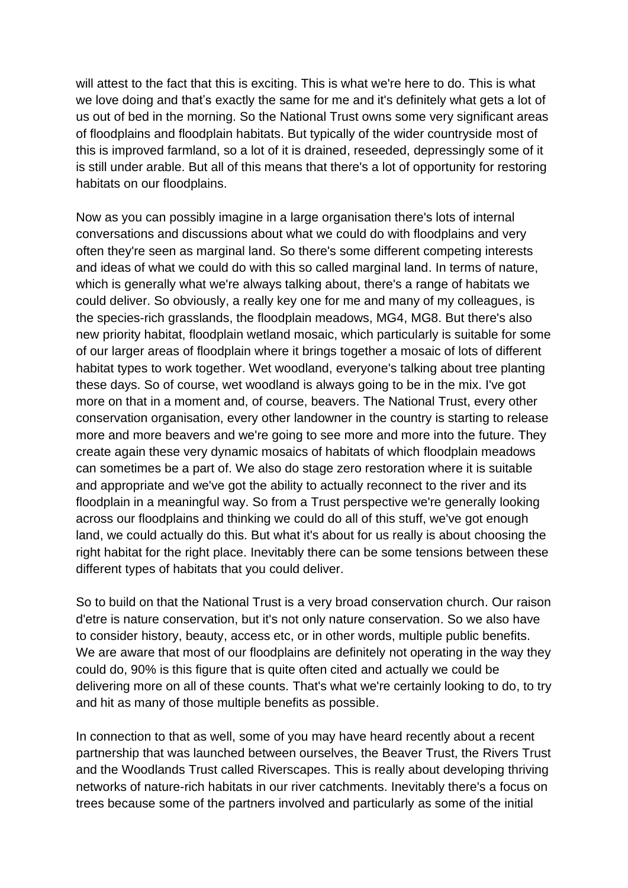will attest to the fact that this is exciting. This is what we're here to do. This is what we love doing and that's exactly the same for me and it's definitely what gets a lot of us out of bed in the morning. So the National Trust owns some very significant areas of floodplains and floodplain habitats. But typically of the wider countryside most of this is improved farmland, so a lot of it is drained, reseeded, depressingly some of it is still under arable. But all of this means that there's a lot of opportunity for restoring habitats on our floodplains.

Now as you can possibly imagine in a large organisation there's lots of internal conversations and discussions about what we could do with floodplains and very often they're seen as marginal land. So there's some different competing interests and ideas of what we could do with this so called marginal land. In terms of nature, which is generally what we're always talking about, there's a range of habitats we could deliver. So obviously, a really key one for me and many of my colleagues, is the species-rich grasslands, the floodplain meadows, MG4, MG8. But there's also new priority habitat, floodplain wetland mosaic, which particularly is suitable for some of our larger areas of floodplain where it brings together a mosaic of lots of different habitat types to work together. Wet woodland, everyone's talking about tree planting these days. So of course, wet woodland is always going to be in the mix. I've got more on that in a moment and, of course, beavers. The National Trust, every other conservation organisation, every other landowner in the country is starting to release more and more beavers and we're going to see more and more into the future. They create again these very dynamic mosaics of habitats of which floodplain meadows can sometimes be a part of. We also do stage zero restoration where it is suitable and appropriate and we've got the ability to actually reconnect to the river and its floodplain in a meaningful way. So from a Trust perspective we're generally looking across our floodplains and thinking we could do all of this stuff, we've got enough land, we could actually do this. But what it's about for us really is about choosing the right habitat for the right place. Inevitably there can be some tensions between these different types of habitats that you could deliver.

So to build on that the National Trust is a very broad conservation church. Our raison d'etre is nature conservation, but it's not only nature conservation. So we also have to consider history, beauty, access etc, or in other words, multiple public benefits. We are aware that most of our floodplains are definitely not operating in the way they could do, 90% is this figure that is quite often cited and actually we could be delivering more on all of these counts. That's what we're certainly looking to do, to try and hit as many of those multiple benefits as possible.

In connection to that as well, some of you may have heard recently about a recent partnership that was launched between ourselves, the Beaver Trust, the Rivers Trust and the Woodlands Trust called Riverscapes. This is really about developing thriving networks of nature-rich habitats in our river catchments. Inevitably there's a focus on trees because some of the partners involved and particularly as some of the initial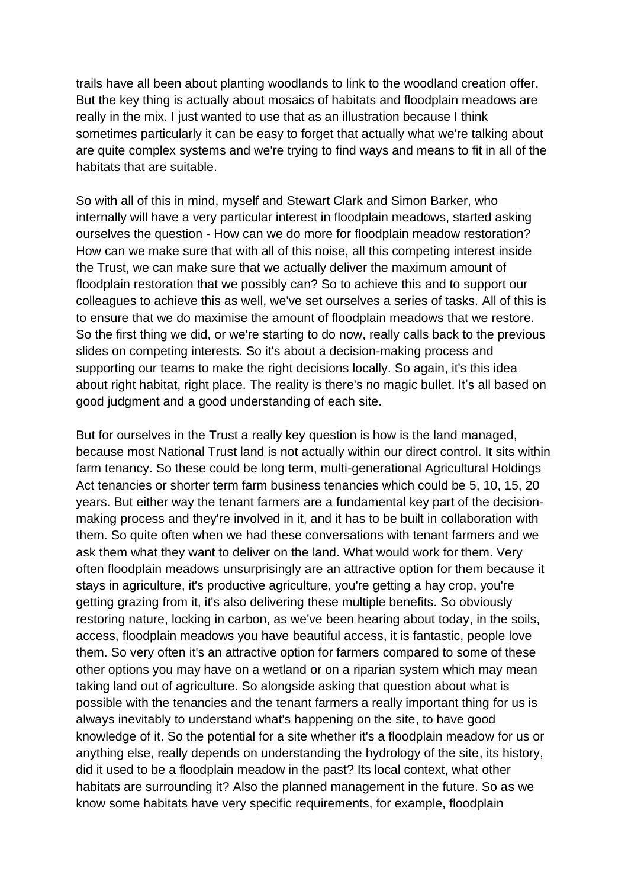trails have all been about planting woodlands to link to the woodland creation offer. But the key thing is actually about mosaics of habitats and floodplain meadows are really in the mix. I just wanted to use that as an illustration because I think sometimes particularly it can be easy to forget that actually what we're talking about are quite complex systems and we're trying to find ways and means to fit in all of the habitats that are suitable.

So with all of this in mind, myself and Stewart Clark and Simon Barker, who internally will have a very particular interest in floodplain meadows, started asking ourselves the question - How can we do more for floodplain meadow restoration? How can we make sure that with all of this noise, all this competing interest inside the Trust, we can make sure that we actually deliver the maximum amount of floodplain restoration that we possibly can? So to achieve this and to support our colleagues to achieve this as well, we've set ourselves a series of tasks. All of this is to ensure that we do maximise the amount of floodplain meadows that we restore. So the first thing we did, or we're starting to do now, really calls back to the previous slides on competing interests. So it's about a decision-making process and supporting our teams to make the right decisions locally. So again, it's this idea about right habitat, right place. The reality is there's no magic bullet. It's all based on good judgment and a good understanding of each site.

But for ourselves in the Trust a really key question is how is the land managed, because most National Trust land is not actually within our direct control. It sits within farm tenancy. So these could be long term, multi-generational Agricultural Holdings Act tenancies or shorter term farm business tenancies which could be 5, 10, 15, 20 years. But either way the tenant farmers are a fundamental key part of the decisionmaking process and they're involved in it, and it has to be built in collaboration with them. So quite often when we had these conversations with tenant farmers and we ask them what they want to deliver on the land. What would work for them. Very often floodplain meadows unsurprisingly are an attractive option for them because it stays in agriculture, it's productive agriculture, you're getting a hay crop, you're getting grazing from it, it's also delivering these multiple benefits. So obviously restoring nature, locking in carbon, as we've been hearing about today, in the soils, access, floodplain meadows you have beautiful access, it is fantastic, people love them. So very often it's an attractive option for farmers compared to some of these other options you may have on a wetland or on a riparian system which may mean taking land out of agriculture. So alongside asking that question about what is possible with the tenancies and the tenant farmers a really important thing for us is always inevitably to understand what's happening on the site, to have good knowledge of it. So the potential for a site whether it's a floodplain meadow for us or anything else, really depends on understanding the hydrology of the site, its history, did it used to be a floodplain meadow in the past? Its local context, what other habitats are surrounding it? Also the planned management in the future. So as we know some habitats have very specific requirements, for example, floodplain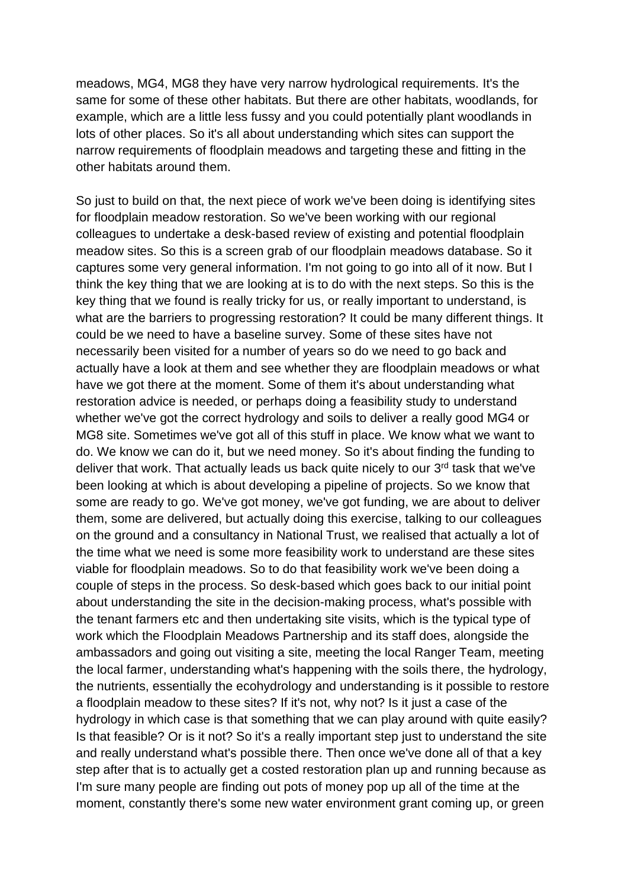meadows, MG4, MG8 they have very narrow hydrological requirements. It's the same for some of these other habitats. But there are other habitats, woodlands, for example, which are a little less fussy and you could potentially plant woodlands in lots of other places. So it's all about understanding which sites can support the narrow requirements of floodplain meadows and targeting these and fitting in the other habitats around them.

So just to build on that, the next piece of work we've been doing is identifying sites for floodplain meadow restoration. So we've been working with our regional colleagues to undertake a desk-based review of existing and potential floodplain meadow sites. So this is a screen grab of our floodplain meadows database. So it captures some very general information. I'm not going to go into all of it now. But I think the key thing that we are looking at is to do with the next steps. So this is the key thing that we found is really tricky for us, or really important to understand, is what are the barriers to progressing restoration? It could be many different things. It could be we need to have a baseline survey. Some of these sites have not necessarily been visited for a number of years so do we need to go back and actually have a look at them and see whether they are floodplain meadows or what have we got there at the moment. Some of them it's about understanding what restoration advice is needed, or perhaps doing a feasibility study to understand whether we've got the correct hydrology and soils to deliver a really good MG4 or MG8 site. Sometimes we've got all of this stuff in place. We know what we want to do. We know we can do it, but we need money. So it's about finding the funding to deliver that work. That actually leads us back quite nicely to our 3<sup>rd</sup> task that we've been looking at which is about developing a pipeline of projects. So we know that some are ready to go. We've got money, we've got funding, we are about to deliver them, some are delivered, but actually doing this exercise, talking to our colleagues on the ground and a consultancy in National Trust, we realised that actually a lot of the time what we need is some more feasibility work to understand are these sites viable for floodplain meadows. So to do that feasibility work we've been doing a couple of steps in the process. So desk-based which goes back to our initial point about understanding the site in the decision-making process, what's possible with the tenant farmers etc and then undertaking site visits, which is the typical type of work which the Floodplain Meadows Partnership and its staff does, alongside the ambassadors and going out visiting a site, meeting the local Ranger Team, meeting the local farmer, understanding what's happening with the soils there, the hydrology, the nutrients, essentially the ecohydrology and understanding is it possible to restore a floodplain meadow to these sites? If it's not, why not? Is it just a case of the hydrology in which case is that something that we can play around with quite easily? Is that feasible? Or is it not? So it's a really important step just to understand the site and really understand what's possible there. Then once we've done all of that a key step after that is to actually get a costed restoration plan up and running because as I'm sure many people are finding out pots of money pop up all of the time at the moment, constantly there's some new water environment grant coming up, or green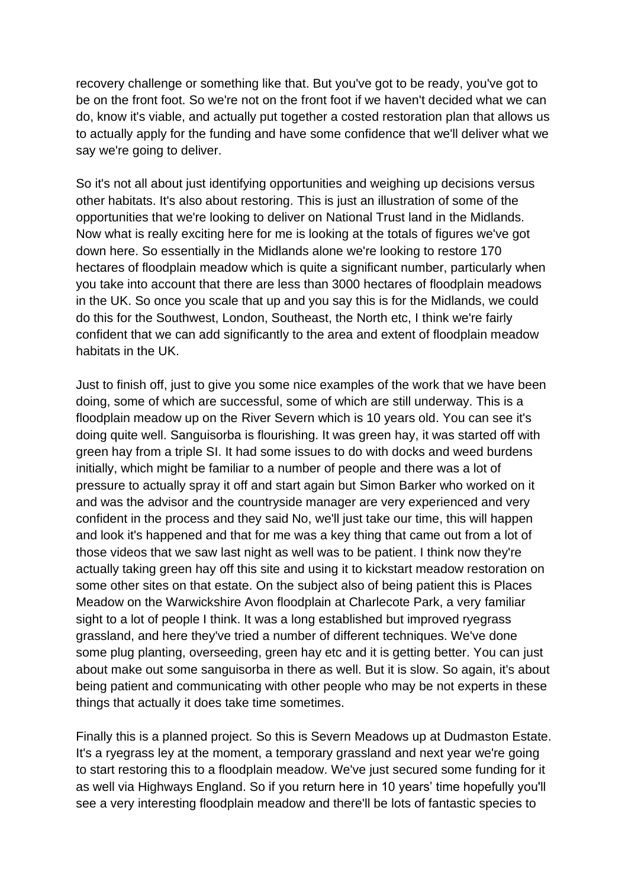recovery challenge or something like that. But you've got to be ready, you've got to be on the front foot. So we're not on the front foot if we haven't decided what we can do, know it's viable, and actually put together a costed restoration plan that allows us to actually apply for the funding and have some confidence that we'll deliver what we say we're going to deliver.

So it's not all about just identifying opportunities and weighing up decisions versus other habitats. It's also about restoring. This is just an illustration of some of the opportunities that we're looking to deliver on National Trust land in the Midlands. Now what is really exciting here for me is looking at the totals of figures we've got down here. So essentially in the Midlands alone we're looking to restore 170 hectares of floodplain meadow which is quite a significant number, particularly when you take into account that there are less than 3000 hectares of floodplain meadows in the UK. So once you scale that up and you say this is for the Midlands, we could do this for the Southwest, London, Southeast, the North etc, I think we're fairly confident that we can add significantly to the area and extent of floodplain meadow habitats in the UK.

Just to finish off, just to give you some nice examples of the work that we have been doing, some of which are successful, some of which are still underway. This is a floodplain meadow up on the River Severn which is 10 years old. You can see it's doing quite well. Sanguisorba is flourishing. It was green hay, it was started off with green hay from a triple SI. It had some issues to do with docks and weed burdens initially, which might be familiar to a number of people and there was a lot of pressure to actually spray it off and start again but Simon Barker who worked on it and was the advisor and the countryside manager are very experienced and very confident in the process and they said No, we'll just take our time, this will happen and look it's happened and that for me was a key thing that came out from a lot of those videos that we saw last night as well was to be patient. I think now they're actually taking green hay off this site and using it to kickstart meadow restoration on some other sites on that estate. On the subject also of being patient this is Places Meadow on the Warwickshire Avon floodplain at Charlecote Park, a very familiar sight to a lot of people I think. It was a long established but improved ryegrass grassland, and here they've tried a number of different techniques. We've done some plug planting, overseeding, green hay etc and it is getting better. You can just about make out some sanguisorba in there as well. But it is slow. So again, it's about being patient and communicating with other people who may be not experts in these things that actually it does take time sometimes.

Finally this is a planned project. So this is Severn Meadows up at Dudmaston Estate. It's a ryegrass ley at the moment, a temporary grassland and next year we're going to start restoring this to a floodplain meadow. We've just secured some funding for it as well via Highways England. So if you return here in 10 years' time hopefully you'll see a very interesting floodplain meadow and there'll be lots of fantastic species to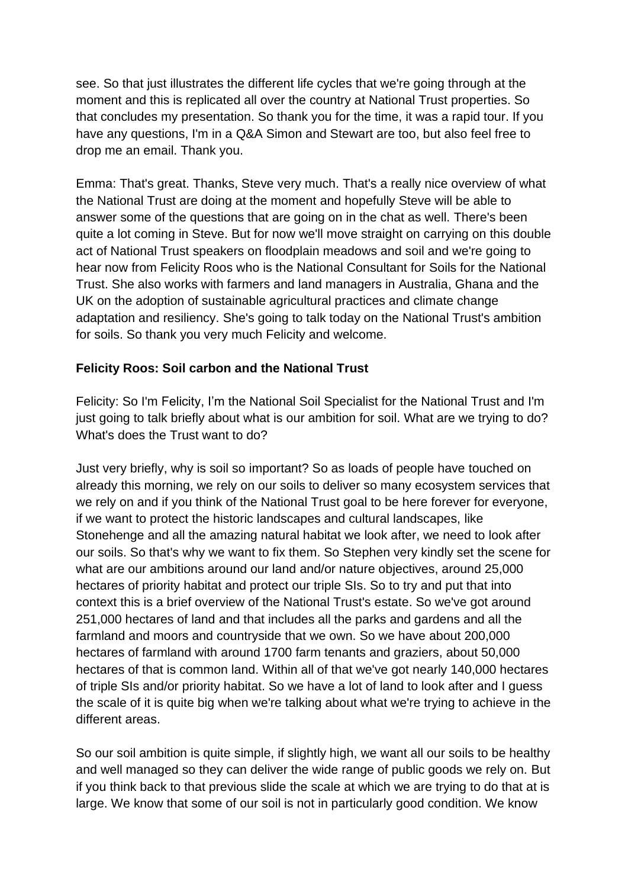see. So that just illustrates the different life cycles that we're going through at the moment and this is replicated all over the country at National Trust properties. So that concludes my presentation. So thank you for the time, it was a rapid tour. If you have any questions, I'm in a Q&A Simon and Stewart are too, but also feel free to drop me an email. Thank you.

Emma: That's great. Thanks, Steve very much. That's a really nice overview of what the National Trust are doing at the moment and hopefully Steve will be able to answer some of the questions that are going on in the chat as well. There's been quite a lot coming in Steve. But for now we'll move straight on carrying on this double act of National Trust speakers on floodplain meadows and soil and we're going to hear now from Felicity Roos who is the National Consultant for Soils for the National Trust. She also works with farmers and land managers in Australia, Ghana and the UK on the adoption of sustainable agricultural practices and climate change adaptation and resiliency. She's going to talk today on the National Trust's ambition for soils. So thank you very much Felicity and welcome.

### **Felicity Roos: Soil carbon and the National Trust**

Felicity: So I'm Felicity, I'm the National Soil Specialist for the National Trust and I'm just going to talk briefly about what is our ambition for soil. What are we trying to do? What's does the Trust want to do?

Just very briefly, why is soil so important? So as loads of people have touched on already this morning, we rely on our soils to deliver so many ecosystem services that we rely on and if you think of the National Trust goal to be here forever for everyone, if we want to protect the historic landscapes and cultural landscapes, like Stonehenge and all the amazing natural habitat we look after, we need to look after our soils. So that's why we want to fix them. So Stephen very kindly set the scene for what are our ambitions around our land and/or nature objectives, around 25,000 hectares of priority habitat and protect our triple SIs. So to try and put that into context this is a brief overview of the National Trust's estate. So we've got around 251,000 hectares of land and that includes all the parks and gardens and all the farmland and moors and countryside that we own. So we have about 200,000 hectares of farmland with around 1700 farm tenants and graziers, about 50,000 hectares of that is common land. Within all of that we've got nearly 140,000 hectares of triple SIs and/or priority habitat. So we have a lot of land to look after and I guess the scale of it is quite big when we're talking about what we're trying to achieve in the different areas.

So our soil ambition is quite simple, if slightly high, we want all our soils to be healthy and well managed so they can deliver the wide range of public goods we rely on. But if you think back to that previous slide the scale at which we are trying to do that at is large. We know that some of our soil is not in particularly good condition. We know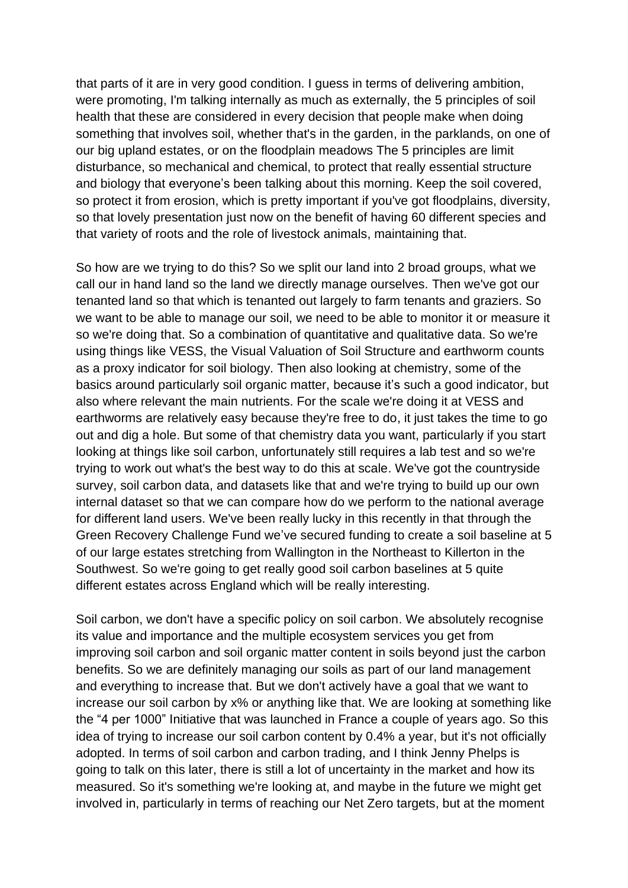that parts of it are in very good condition. I guess in terms of delivering ambition, were promoting, I'm talking internally as much as externally, the 5 principles of soil health that these are considered in every decision that people make when doing something that involves soil, whether that's in the garden, in the parklands, on one of our big upland estates, or on the floodplain meadows The 5 principles are limit disturbance, so mechanical and chemical, to protect that really essential structure and biology that everyone's been talking about this morning. Keep the soil covered, so protect it from erosion, which is pretty important if you've got floodplains, diversity, so that lovely presentation just now on the benefit of having 60 different species and that variety of roots and the role of livestock animals, maintaining that.

So how are we trying to do this? So we split our land into 2 broad groups, what we call our in hand land so the land we directly manage ourselves. Then we've got our tenanted land so that which is tenanted out largely to farm tenants and graziers. So we want to be able to manage our soil, we need to be able to monitor it or measure it so we're doing that. So a combination of quantitative and qualitative data. So we're using things like VESS, the Visual Valuation of Soil Structure and earthworm counts as a proxy indicator for soil biology. Then also looking at chemistry, some of the basics around particularly soil organic matter, because it's such a good indicator, but also where relevant the main nutrients. For the scale we're doing it at VESS and earthworms are relatively easy because they're free to do, it just takes the time to go out and dig a hole. But some of that chemistry data you want, particularly if you start looking at things like soil carbon, unfortunately still requires a lab test and so we're trying to work out what's the best way to do this at scale. We've got the countryside survey, soil carbon data, and datasets like that and we're trying to build up our own internal dataset so that we can compare how do we perform to the national average for different land users. We've been really lucky in this recently in that through the Green Recovery Challenge Fund we've secured funding to create a soil baseline at 5 of our large estates stretching from Wallington in the Northeast to Killerton in the Southwest. So we're going to get really good soil carbon baselines at 5 quite different estates across England which will be really interesting.

Soil carbon, we don't have a specific policy on soil carbon. We absolutely recognise its value and importance and the multiple ecosystem services you get from improving soil carbon and soil organic matter content in soils beyond just the carbon benefits. So we are definitely managing our soils as part of our land management and everything to increase that. But we don't actively have a goal that we want to increase our soil carbon by x% or anything like that. We are looking at something like the "4 per 1000" Initiative that was launched in France a couple of years ago. So this idea of trying to increase our soil carbon content by 0.4% a year, but it's not officially adopted. In terms of soil carbon and carbon trading, and I think Jenny Phelps is going to talk on this later, there is still a lot of uncertainty in the market and how its measured. So it's something we're looking at, and maybe in the future we might get involved in, particularly in terms of reaching our Net Zero targets, but at the moment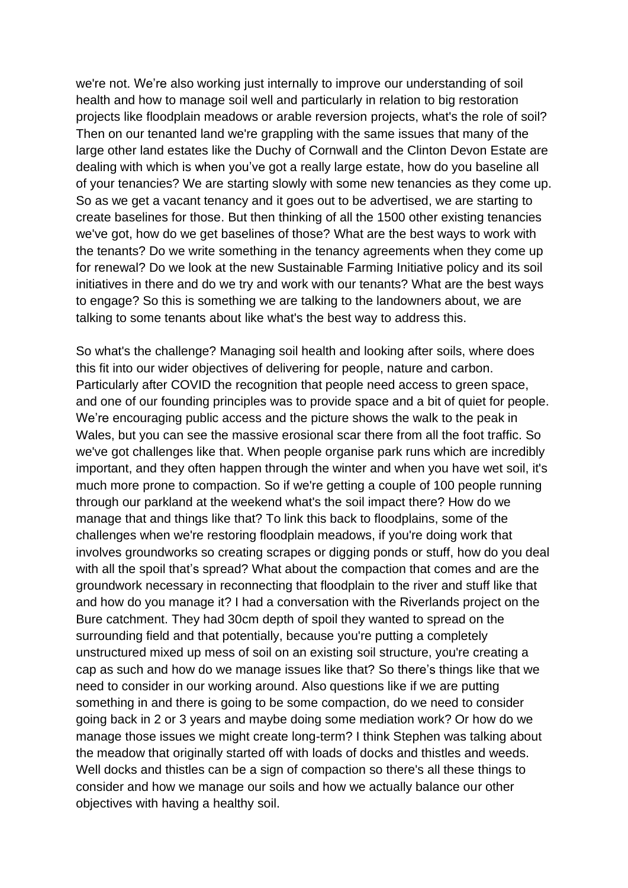we're not. We're also working just internally to improve our understanding of soil health and how to manage soil well and particularly in relation to big restoration projects like floodplain meadows or arable reversion projects, what's the role of soil? Then on our tenanted land we're grappling with the same issues that many of the large other land estates like the Duchy of Cornwall and the Clinton Devon Estate are dealing with which is when you've got a really large estate, how do you baseline all of your tenancies? We are starting slowly with some new tenancies as they come up. So as we get a vacant tenancy and it goes out to be advertised, we are starting to create baselines for those. But then thinking of all the 1500 other existing tenancies we've got, how do we get baselines of those? What are the best ways to work with the tenants? Do we write something in the tenancy agreements when they come up for renewal? Do we look at the new Sustainable Farming Initiative policy and its soil initiatives in there and do we try and work with our tenants? What are the best ways to engage? So this is something we are talking to the landowners about, we are talking to some tenants about like what's the best way to address this.

So what's the challenge? Managing soil health and looking after soils, where does this fit into our wider objectives of delivering for people, nature and carbon. Particularly after COVID the recognition that people need access to green space, and one of our founding principles was to provide space and a bit of quiet for people. We're encouraging public access and the picture shows the walk to the peak in Wales, but you can see the massive erosional scar there from all the foot traffic. So we've got challenges like that. When people organise park runs which are incredibly important, and they often happen through the winter and when you have wet soil, it's much more prone to compaction. So if we're getting a couple of 100 people running through our parkland at the weekend what's the soil impact there? How do we manage that and things like that? To link this back to floodplains, some of the challenges when we're restoring floodplain meadows, if you're doing work that involves groundworks so creating scrapes or digging ponds or stuff, how do you deal with all the spoil that's spread? What about the compaction that comes and are the groundwork necessary in reconnecting that floodplain to the river and stuff like that and how do you manage it? I had a conversation with the Riverlands project on the Bure catchment. They had 30cm depth of spoil they wanted to spread on the surrounding field and that potentially, because you're putting a completely unstructured mixed up mess of soil on an existing soil structure, you're creating a cap as such and how do we manage issues like that? So there's things like that we need to consider in our working around. Also questions like if we are putting something in and there is going to be some compaction, do we need to consider going back in 2 or 3 years and maybe doing some mediation work? Or how do we manage those issues we might create long-term? I think Stephen was talking about the meadow that originally started off with loads of docks and thistles and weeds. Well docks and thistles can be a sign of compaction so there's all these things to consider and how we manage our soils and how we actually balance our other objectives with having a healthy soil.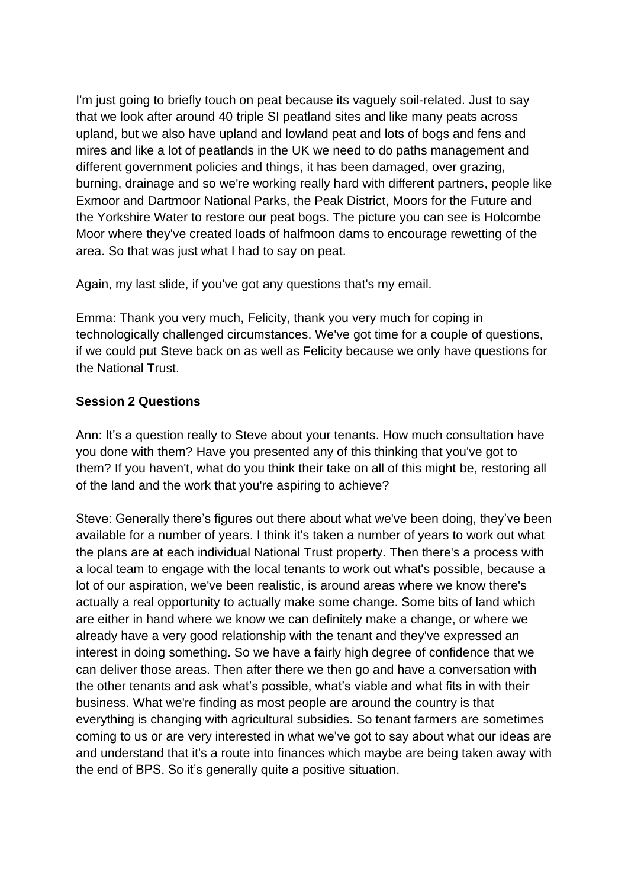I'm just going to briefly touch on peat because its vaguely soil-related. Just to say that we look after around 40 triple SI peatland sites and like many peats across upland, but we also have upland and lowland peat and lots of bogs and fens and mires and like a lot of peatlands in the UK we need to do paths management and different government policies and things, it has been damaged, over grazing, burning, drainage and so we're working really hard with different partners, people like Exmoor and Dartmoor National Parks, the Peak District, Moors for the Future and the Yorkshire Water to restore our peat bogs. The picture you can see is Holcombe Moor where they've created loads of halfmoon dams to encourage rewetting of the area. So that was just what I had to say on peat.

Again, my last slide, if you've got any questions that's my email.

Emma: Thank you very much, Felicity, thank you very much for coping in technologically challenged circumstances. We've got time for a couple of questions, if we could put Steve back on as well as Felicity because we only have questions for the National Trust.

## **Session 2 Questions**

Ann: It's a question really to Steve about your tenants. How much consultation have you done with them? Have you presented any of this thinking that you've got to them? If you haven't, what do you think their take on all of this might be, restoring all of the land and the work that you're aspiring to achieve?

Steve: Generally there's figures out there about what we've been doing, they've been available for a number of years. I think it's taken a number of years to work out what the plans are at each individual National Trust property. Then there's a process with a local team to engage with the local tenants to work out what's possible, because a lot of our aspiration, we've been realistic, is around areas where we know there's actually a real opportunity to actually make some change. Some bits of land which are either in hand where we know we can definitely make a change, or where we already have a very good relationship with the tenant and they've expressed an interest in doing something. So we have a fairly high degree of confidence that we can deliver those areas. Then after there we then go and have a conversation with the other tenants and ask what's possible, what's viable and what fits in with their business. What we're finding as most people are around the country is that everything is changing with agricultural subsidies. So tenant farmers are sometimes coming to us or are very interested in what we've got to say about what our ideas are and understand that it's a route into finances which maybe are being taken away with the end of BPS. So it's generally quite a positive situation.